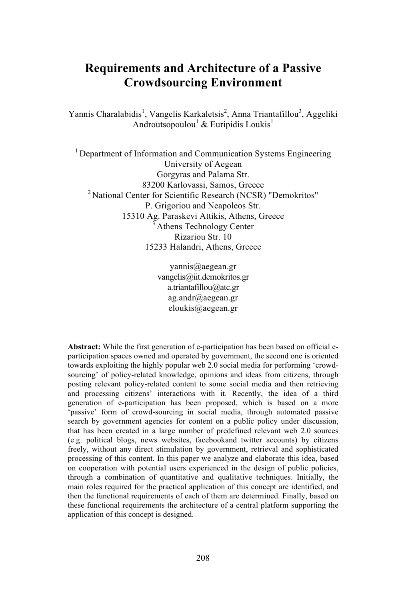# **Requirements and Architecture of a Passive Crowdsourcing Environment**

Yannis Charalabidis<sup>1</sup>, Vangelis Karkaletsis<sup>2</sup>, Anna Triantafillou<sup>3</sup>, Aggeliki Androutsopoulou<sup>1</sup> & Euripidis Loukis<sup>1</sup>

<sup>1</sup> Department of Information and Communication Systems Engineering University of Aegean Gorgyras and Palama Str. 83200 Karlovassi, Samos, Greece <sup>2</sup> National Center for Scientific Research (NCSR) "Demokritos" P. Grigoriou and Neapoleos Str. 15310 Ag. Paraskevi Attikis, Athens, Greece  $3$  Athens Technology Center Rizariou Str. 10 15233 Halandri, Athens, Greece

> yannis@aegean.gr vangelis@iit.demokritos.gr a.triantafillou@atc.gr ag.andr@aegean.gr eloukis@aegean.gr

**Abstract:** While the first generation of e-participation has been based on official eparticipation spaces owned and operated by government, the second one is oriented towards exploiting the highly popular web 2.0 social media for performing 'crowdsourcing' of policy-related knowledge, opinions and ideas from citizens, through posting relevant policy-related content to some social media and then retrieving and processing citizens' interactions with it. Recently, the idea of a third generation of e-participation has been proposed, which is based on a more 'passive' form of crowd-sourcing in social media, through automated passive search by government agencies for content on a public policy under discussion, that has been created in a large number of predefined relevant web 2.0 sources (e.g. political blogs, news websites, facebookand twitter accounts) by citizens freely, without any direct stimulation by government, retrieval and sophisticated processing of this content. In this paper we analyze and elaborate this idea, based on cooperation with potential users experienced in the design of public policies, through a combination of quantitative and qualitative techniques. Initially, the main roles required for the practical application of this concept are identified, and then the functional requirements of each of them are determined. Finally, based on these functional requirements the architecture of a central platform supporting the application of this concept is designed.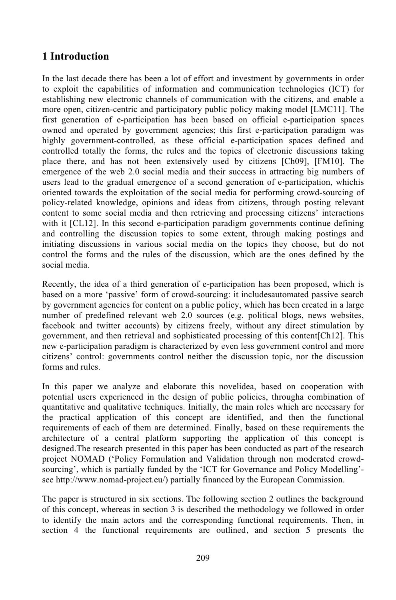### **1 Introduction**

In the last decade there has been a lot of effort and investment by governments in order to exploit the capabilities of information and communication technologies (ICT) for establishing new electronic channels of communication with the citizens, and enable a more open, citizen-centric and participatory public policy making model [LMC11]. The first generation of e-participation has been based on official e-participation spaces owned and operated by government agencies; this first e-participation paradigm was highly government-controlled, as these official e-participation spaces defined and controlled totally the forms, the rules and the topics of electronic discussions taking place there, and has not been extensively used by citizens [Ch09], [FM10]. The emergence of the web 2.0 social media and their success in attracting big numbers of users lead to the gradual emergence of a second generation of e-participation, whichis oriented towards the exploitation of the social media for performing crowd-sourcing of policy-related knowledge, opinions and ideas from citizens, through posting relevant content to some social media and then retrieving and processing citizens' interactions with it [CL12]. In this second e-participation paradigm governments continue defining and controlling the discussion topics to some extent, through making postings and initiating discussions in various social media on the topics they choose, but do not control the forms and the rules of the discussion, which are the ones defined by the social media.

Recently, the idea of a third generation of e-participation has been proposed, which is based on a more 'passive' form of crowd-sourcing: it includesautomated passive search by government agencies for content on a public policy, which has been created in a large number of predefined relevant web 2.0 sources (e.g. political blogs, news websites, facebook and twitter accounts) by citizens freely, without any direct stimulation by government, and then retrieval and sophisticated processing of this content[Ch12]. This new e-participation paradigm is characterized by even less government control and more citizens' control: governments control neither the discussion topic, nor the discussion forms and rules.

In this paper we analyze and elaborate this novelidea, based on cooperation with potential users experienced in the design of public policies, througha combination of quantitative and qualitative techniques. Initially, the main roles which are necessary for the practical application of this concept are identified, and then the functional requirements of each of them are determined. Finally, based on these requirements the architecture of a central platform supporting the application of this concept is designed.The research presented in this paper has been conducted as part of the research project NOMAD ('Policy Formulation and Validation through non moderated crowdsourcing', which is partially funded by the 'ICT for Governance and Policy Modelling' see http://www.nomad-project.eu/) partially financed by the European Commission.

The paper is structured in six sections. The following section 2 outlines the background of this concept, whereas in section 3 is described the methodology we followed in order to identify the main actors and the corresponding functional requirements. Then, in section  $4$  the functional requirements are outlined, and section  $5$  presents the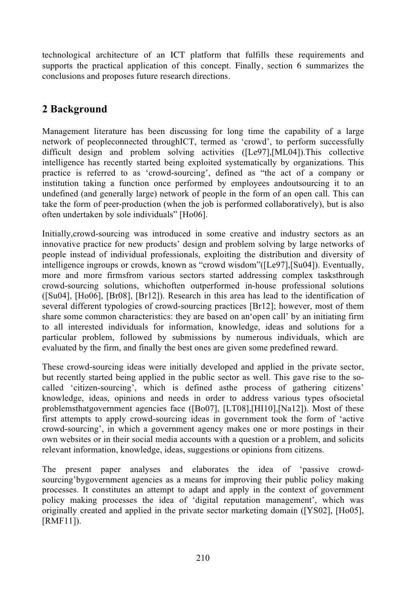technological architecture of an ICT platform that fulfills these requirements and supports the practical application of this concept. Finally, section 6 summarizes the conclusions and proposes future research directions.

### **2 Background**

Management literature has been discussing for long time the capability of a large network of peopleconnected throughICT, termed as 'crowd', to perform successfully difficult design and problem solving activities ([Le97],[ML04]).This collective intelligence has recently started being exploited systematically by organizations. This practice is referred to as 'crowd-sourcing', defined as "the act of a company or institution taking a function once performed by employees andoutsourcing it to an undefined (and generally large) network of people in the form of an open call. This can take the form of peer-production (when the job is performed collaboratively), but is also often undertaken by sole individuals" [Ho06].

Initially,crowd-sourcing was introduced in some creative and industry sectors as an innovative practice for new products' design and problem solving by large networks of people instead of individual professionals, exploiting the distribution and diversity of intelligence ingroups or crowds, known as "crowd wisdom"([Le97],[Su04]). Eventually, more and more firmsfrom various sectors started addressing complex tasksthrough crowd-sourcing solutions, whichoften outperformed in-house professional solutions ([Su04], [Ho06], [Br08], [Br12]). Research in this area has lead to the identification of several different typologies of crowd-sourcing practices [Br12]; however, most of them share some common characteristics: they are based on an'open call' by an initiating firm to all interested individuals for information, knowledge, ideas and solutions for a particular problem, followed by submissions by numerous individuals, which are evaluated by the firm, and finally the best ones are given some predefined reward.

These crowd-sourcing ideas were initially developed and applied in the private sector, but recently started being applied in the public sector as well. This gave rise to the socalled 'citizen-sourcing', which is defined asthe process of gathering citizens' knowledge, ideas, opinions and needs in order to address various types ofsocietal problemsthatgovernment agencies face ([Bo07], [LT08],[HI10],[Na12]). Most of these first attempts to apply crowd-sourcing ideas in government took the form of 'active crowd-sourcing', in which a government agency makes one or more postings in their own websites or in their social media accounts with a question or a problem, and solicits relevant information, knowledge, ideas, suggestions or opinions from citizens.

The present paper analyses and elaborates the idea of 'passive crowdsourcing'bygovernment agencies as a means for improving their public policy making processes. It constitutes an attempt to adapt and apply in the context of government policy making processes the idea of 'digital reputation management', which was originally created and applied in the private sector marketing domain ([YS02], [Ho05], [RMF11]).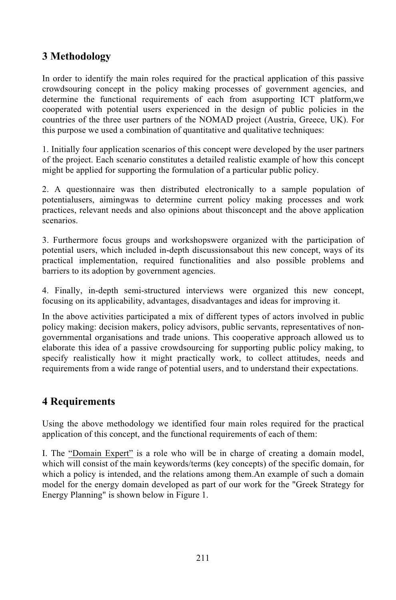## **3 Methodology**

In order to identify the main roles required for the practical application of this passive crowdsouring concept in the policy making processes of government agencies, and determine the functional requirements of each from asupporting ICT platform,we cooperated with potential users experienced in the design of public policies in the countries of the three user partners of the NOMAD project (Austria, Greece, UK). For this purpose we used a combination of quantitative and qualitative techniques:

1. Initially four application scenarios of this concept were developed by the user partners of the project. Each scenario constitutes a detailed realistic example of how this concept might be applied for supporting the formulation of a particular public policy.

2. A questionnaire was then distributed electronically to a sample population of potentialusers, aimingwas to determine current policy making processes and work practices, relevant needs and also opinions about thisconcept and the above application scenarios.

3. Furthermore focus groups and workshopswere organized with the participation of potential users, which included in-depth discussionsabout this new concept, ways of its practical implementation, required functionalities and also possible problems and barriers to its adoption by government agencies.

4. Finally, in-depth semi-structured interviews were organized this new concept, focusing on its applicability, advantages, disadvantages and ideas for improving it.

In the above activities participated a mix of different types of actors involved in public policy making: decision makers, policy advisors, public servants, representatives of nongovernmental organisations and trade unions. This cooperative approach allowed us to elaborate this idea of a passive crowdsourcing for supporting public policy making, to specify realistically how it might practically work, to collect attitudes, needs and requirements from a wide range of potential users, and to understand their expectations.

## **4 Requirements**

Using the above methodology we identified four main roles required for the practical application of this concept, and the functional requirements of each of them:

I. The "Domain Expert" is a role who will be in charge of creating a domain model, which will consist of the main keywords/terms (key concepts) of the specific domain, for which a policy is intended, and the relations among them.An example of such a domain model for the energy domain developed as part of our work for the "Greek Strategy for Energy Planning" is shown below in Figure 1.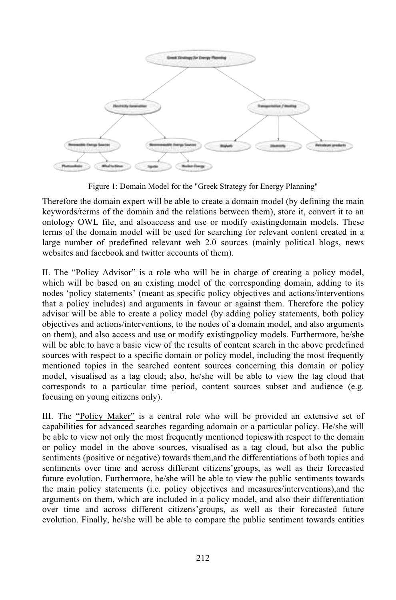

Figure 1: Domain Model for the "Greek Strategy for Energy Planning"

Therefore the domain expert will be able to create a domain model (by defining the main keywords/terms of the domain and the relations between them), store it, convert it to an ontology OWL file, and alsoaccess and use or modify existingdomain models. These terms of the domain model will be used for searching for relevant content created in a large number of predefined relevant web 2.0 sources (mainly political blogs, news websites and facebook and twitter accounts of them).

II. The "Policy Advisor" is a role who will be in charge of creating a policy model, which will be based on an existing model of the corresponding domain, adding to its nodes 'policy statements' (meant as specific policy objectives and actions/interventions that a policy includes) and arguments in favour or against them. Therefore the policy advisor will be able to create a policy model (by adding policy statements, both policy objectives and actions/interventions, to the nodes of a domain model, and also arguments on them), and also access and use or modify existingpolicy models. Furthermore, he/she will be able to have a basic view of the results of content search in the above predefined sources with respect to a specific domain or policy model, including the most frequently mentioned topics in the searched content sources concerning this domain or policy model, visualised as a tag cloud; also, he/she will be able to view the tag cloud that corresponds to a particular time period, content sources subset and audience (e.g. focusing on young citizens only).

III. The "Policy Maker" is a central role who will be provided an extensive set of capabilities for advanced searches regarding adomain or a particular policy. He/she will be able to view not only the most frequently mentioned topicswith respect to the domain or policy model in the above sources, visualised as a tag cloud, but also the public sentiments (positive or negative) towards them,and the differentiations of both topics and sentiments over time and across different citizens'groups, as well as their forecasted future evolution. Furthermore, he/she will be able to view the public sentiments towards the main policy statements (i.e. policy objectives and measures/interventions),and the arguments on them, which are included in a policy model, and also their differentiation over time and across different citizens'groups, as well as their forecasted future evolution. Finally, he/she will be able to compare the public sentiment towards entities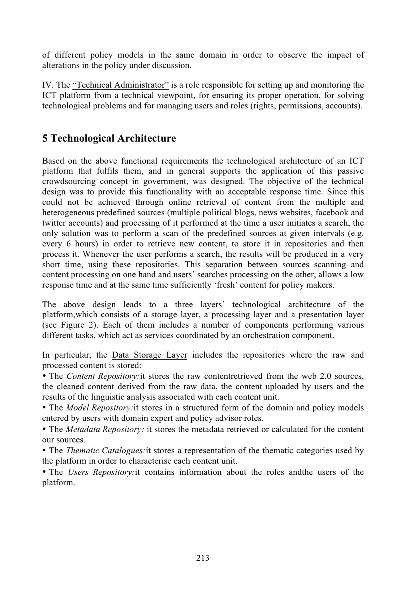of different policy models in the same domain in order to observe the impact of alterations in the policy under discussion.

IV. The "Technical Administrator" is a role responsible for setting up and monitoring the ICT platform from a technical viewpoint, for ensuring its proper operation, for solving technological problems and for managing users and roles (rights, permissions, accounts).

### **5 Technological Architecture**

Based on the above functional requirements the technological architecture of an ICT platform that fulfils them, and in general supports the application of this passive crowdsourcing concept in government, was designed. The objective of the technical design was to provide this functionality with an acceptable response time. Since this could not be achieved through online retrieval of content from the multiple and heterogeneous predefined sources (multiple political blogs, news websites, facebook and twitter accounts) and processing of it performed at the time a user initiates a search, the only solution was to perform a scan of the predefined sources at given intervals (e.g. every 6 hours) in order to retrieve new content, to store it in repositories and then process it. Whenever the user performs a search, the results will be produced in a very short time, using these repositories. This separation between sources scanning and content processing on one hand and users' searches processing on the other, allows a low response time and at the same time sufficiently 'fresh' content for policy makers.

The above design leads to a three layers' technological architecture of the platform,which consists of a storage layer, a processing layer and a presentation layer (see Figure 2). Each of them includes a number of components performing various different tasks, which act as services coordinated by an orchestration component.

In particular, the Data Storage Layer includes the repositories where the raw and processed content is stored:

• The *Content Repository:*it stores the raw contentretrieved from the web 2.0 sources, the cleaned content derived from the raw data, the content uploaded by users and the results of the linguistic analysis associated with each content unit.

• The *Model Repository:*it stores in a structured form of the domain and policy models entered by users with domain expert and policy advisor roles.

• The *Metadata Repository:* it stores the metadata retrieved or calculated for the content our sources.

• The *Thematic Catalogues:*it stores a representation of the thematic categories used by the platform in order to characterise each content unit.

• The *Users Repository:*it contains information about the roles andthe users of the platform.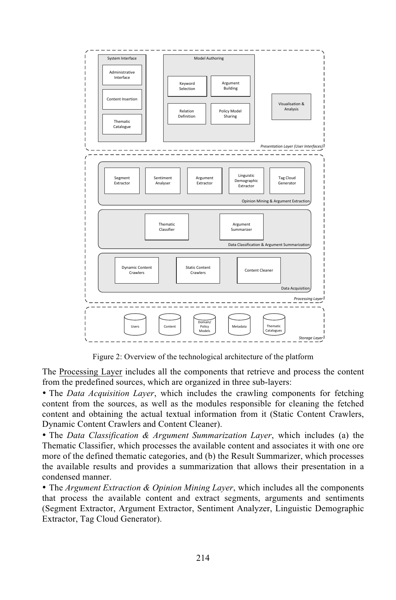

Figure 2: Overview of the technological architecture of the platform

The Processing Layer includes all the components that retrieve and process the content from the predefined sources, which are organized in three sub-layers:

• The *Data Acquisition Layer*, which includes the crawling components for fetching content from the sources, as well as the modules responsible for cleaning the fetched content and obtaining the actual textual information from it (Static Content Crawlers, Dynamic Content Crawlers and Content Cleaner).

• The *Data Classification & Argument Summarization Layer*, which includes (a) the Thematic Classifier, which processes the available content and associates it with one ore more of the defined thematic categories, and (b) the Result Summarizer, which processes the available results and provides a summarization that allows their presentation in a condensed manner.

• The *Argument Extraction & Opinion Mining Layer*, which includes all the components that process the available content and extract segments, arguments and sentiments (Segment Extractor, Argument Extractor, Sentiment Analyzer, Linguistic Demographic Extractor, Tag Cloud Generator).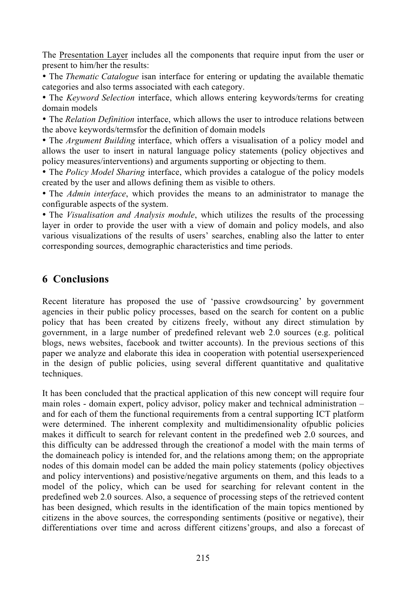The Presentation Layer includes all the components that require input from the user or present to him/her the results:

• The *Thematic Catalogue* isan interface for entering or updating the available thematic categories and also terms associated with each category.

• The *Keyword Selection* interface, which allows entering keywords/terms for creating domain models

• The *Relation Definition* interface, which allows the user to introduce relations between the above keywords/termsfor the definition of domain models

• The *Argument Building* interface, which offers a visualisation of a policy model and allows the user to insert in natural language policy statements (policy objectives and policy measures/interventions) and arguments supporting or objecting to them.

• The *Policy Model Sharing* interface, which provides a catalogue of the policy models created by the user and allows defining them as visible to others.

• The *Admin interface*, which provides the means to an administrator to manage the configurable aspects of the system.

• The *Visualisation and Analysis module*, which utilizes the results of the processing layer in order to provide the user with a view of domain and policy models, and also various visualizations of the results of users' searches, enabling also the latter to enter corresponding sources, demographic characteristics and time periods.

#### **6 Conclusions**

Recent literature has proposed the use of 'passive crowdsourcing' by government agencies in their public policy processes, based on the search for content on a public policy that has been created by citizens freely, without any direct stimulation by government, in a large number of predefined relevant web 2.0 sources (e.g. political blogs, news websites, facebook and twitter accounts). In the previous sections of this paper we analyze and elaborate this idea in cooperation with potential usersexperienced in the design of public policies, using several different quantitative and qualitative techniques.

It has been concluded that the practical application of this new concept will require four main roles - domain expert, policy advisor, policy maker and technical administration – and for each of them the functional requirements from a central supporting ICT platform were determined. The inherent complexity and multidimensionality ofpublic policies makes it difficult to search for relevant content in the predefined web 2.0 sources, and this difficulty can be addressed through the creationof a model with the main terms of the domaineach policy is intended for, and the relations among them; on the appropriate nodes of this domain model can be added the main policy statements (policy objectives and policy interventions) and posistive/negative arguments on them, and this leads to a model of the policy, which can be used for searching for relevant content in the predefined web 2.0 sources. Also, a sequence of processing steps of the retrieved content has been designed, which results in the identification of the main topics mentioned by citizens in the above sources, the corresponding sentiments (positive or negative), their differentiations over time and across different citizens'groups, and also a forecast of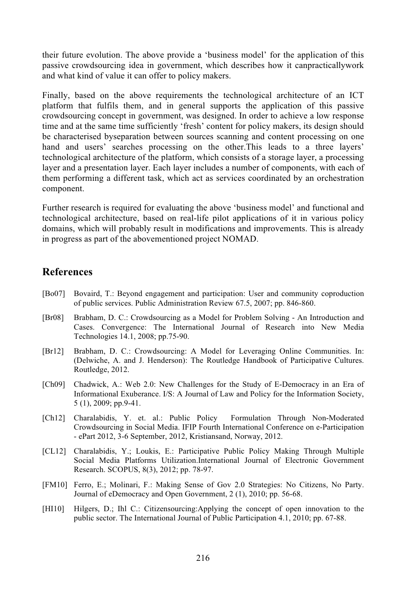their future evolution. The above provide a 'business model' for the application of this passive crowdsourcing idea in government, which describes how it canpracticallywork and what kind of value it can offer to policy makers.

Finally, based on the above requirements the technological architecture of an ICT platform that fulfils them, and in general supports the application of this passive crowdsourcing concept in government, was designed. In order to achieve a low response time and at the same time sufficiently 'fresh' content for policy makers, its design should be characterised byseparation between sources scanning and content processing on one hand and users' searches processing on the other.This leads to a three layers' technological architecture of the platform, which consists of a storage layer, a processing layer and a presentation layer. Each layer includes a number of components, with each of them performing a different task, which act as services coordinated by an orchestration component.

Further research is required for evaluating the above 'business model' and functional and technological architecture, based on real-life pilot applications of it in various policy domains, which will probably result in modifications and improvements. This is already in progress as part of the abovementioned project NOMAD.

#### **References**

- [Bo07] Bovaird, T.: Beyond engagement and participation: User and community coproduction of public services. Public Administration Review 67.5, 2007; pp. 846-860.
- [Br08] Brabham, D. C.: Crowdsourcing as a Model for Problem Solving An Introduction and Cases. Convergence: The International Journal of Research into New Media Technologies 14.1, 2008; pp.75-90.
- [Br12] Brabham, D. C.: Crowdsourcing: A Model for Leveraging Online Communities. In: (Delwiche, A. and J. Henderson): The Routledge Handbook of Participative Cultures. Routledge, 2012.
- [Ch09] Chadwick, A.: Web 2.0: New Challenges for the Study of E-Democracy in an Era of Informational Exuberance. I/S: A Journal of Law and Policy for the Information Society, 5 (1), 2009; pp.9-41.
- [Ch12] Charalabidis, Y. et. al.: Public Policy Formulation Through Non-Moderated Crowdsourcing in Social Media. IFIP Fourth International Conference on e-Participation - ePart 2012, 3-6 September, 2012, Kristiansand, Norway, 2012.
- [CL12] Charalabidis, Y.; Loukis, E.: Participative Public Policy Making Through Multiple Social Media Platforms Utilization.International Journal of Electronic Government Research. SCOPUS, 8(3), 2012; pp. 78-97.
- [FM10] Ferro, E.; Molinari, F.: Making Sense of Gov 2.0 Strategies: No Citizens, No Party. Journal of eDemocracy and Open Government, 2 (1), 2010; pp. 56-68.
- [HI10] Hilgers, D.; Ihl C.: Citizensourcing:Applying the concept of open innovation to the public sector. The International Journal of Public Participation 4.1, 2010; pp. 67-88.